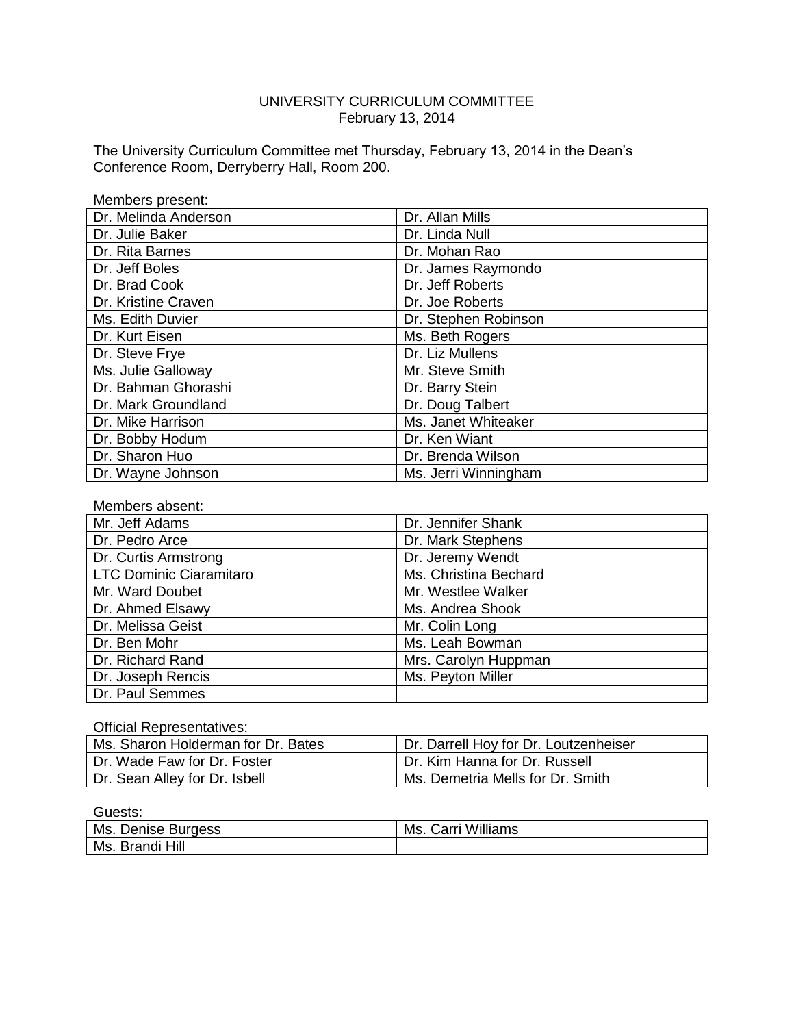# UNIVERSITY CURRICULUM COMMITTEE February 13, 2014

The University Curriculum Committee met Thursday, February 13, 2014 in the Dean's Conference Room, Derryberry Hall, Room 200.

| Members present:     |                      |
|----------------------|----------------------|
| Dr. Melinda Anderson | Dr. Allan Mills      |
| Dr. Julie Baker      | Dr. Linda Null       |
| Dr. Rita Barnes      | Dr. Mohan Rao        |
| Dr. Jeff Boles       | Dr. James Raymondo   |
| Dr. Brad Cook        | Dr. Jeff Roberts     |
| Dr. Kristine Craven  | Dr. Joe Roberts      |
| Ms. Edith Duvier     | Dr. Stephen Robinson |
| Dr. Kurt Eisen       | Ms. Beth Rogers      |
| Dr. Steve Frye       | Dr. Liz Mullens      |
| Ms. Julie Galloway   | Mr. Steve Smith      |
| Dr. Bahman Ghorashi  | Dr. Barry Stein      |
| Dr. Mark Groundland  | Dr. Doug Talbert     |
| Dr. Mike Harrison    | Ms. Janet Whiteaker  |
| Dr. Bobby Hodum      | Dr. Ken Wiant        |
| Dr. Sharon Huo       | Dr. Brenda Wilson    |
| Dr. Wayne Johnson    | Ms. Jerri Winningham |

| Members absent:         |                       |
|-------------------------|-----------------------|
| Mr. Jeff Adams          | Dr. Jennifer Shank    |
| Dr. Pedro Arce          | Dr. Mark Stephens     |
| Dr. Curtis Armstrong    | Dr. Jeremy Wendt      |
| LTC Dominic Ciaramitaro | Ms. Christina Bechard |
| Mr. Ward Doubet         | Mr. Westlee Walker    |
| Dr. Ahmed Elsawy        | Ms. Andrea Shook      |
| Dr. Melissa Geist       | Mr. Colin Long        |
| Dr. Ben Mohr            | Ms. Leah Bowman       |
| Dr. Richard Rand        | Mrs. Carolyn Huppman  |
| Dr. Joseph Rencis       | Ms. Peyton Miller     |
| Dr. Paul Semmes         |                       |

#### Official Representatives:

| Ms. Sharon Holderman for Dr. Bates | Dr. Darrell Hoy for Dr. Loutzenheiser |
|------------------------------------|---------------------------------------|
| Dr. Wade Faw for Dr. Foster        | l Dr. Kim Hanna for Dr. Russell       |
| Dr. Sean Alley for Dr. Isbell      | Ms. Demetria Mells for Dr. Smith      |

#### Guests:

| Ms.                      | Carri Williams |
|--------------------------|----------------|
| Denise Burgess           | Ms.            |
| <b>Brandi Hill</b><br>Ms |                |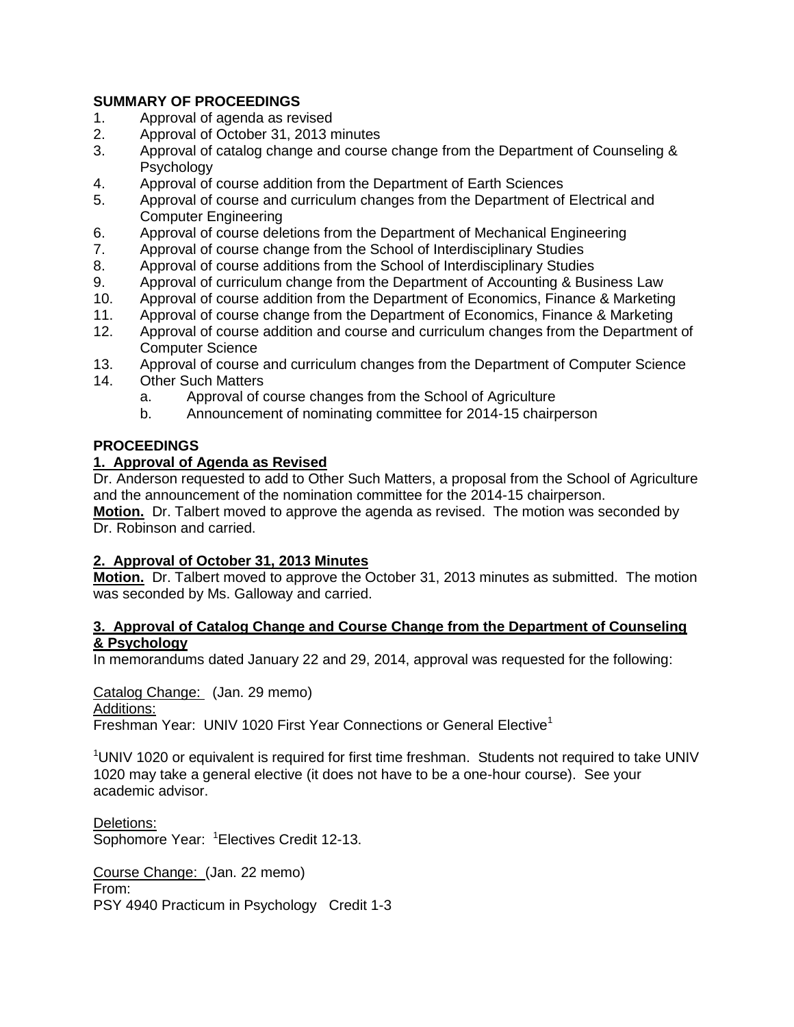# **SUMMARY OF PROCEEDINGS**

- 1. Approval of agenda as revised
- 2. Approval of October 31, 2013 minutes
- 3. Approval of catalog change and course change from the Department of Counseling & **Psychology**
- 4. Approval of course addition from the Department of Earth Sciences
- 5. Approval of course and curriculum changes from the Department of Electrical and Computer Engineering
- 6. Approval of course deletions from the Department of Mechanical Engineering
- 7. Approval of course change from the School of Interdisciplinary Studies
- 8. Approval of course additions from the School of Interdisciplinary Studies
- 9. Approval of curriculum change from the Department of Accounting & Business Law
- 10. Approval of course addition from the Department of Economics, Finance & Marketing
- 11. Approval of course change from the Department of Economics, Finance & Marketing
- 12. Approval of course addition and course and curriculum changes from the Department of Computer Science
- 13. Approval of course and curriculum changes from the Department of Computer Science
- 14. Other Such Matters
	- a. Approval of course changes from the School of Agriculture
	- b. Announcement of nominating committee for 2014-15 chairperson

# **PROCEEDINGS**

# **1. Approval of Agenda as Revised**

Dr. Anderson requested to add to Other Such Matters, a proposal from the School of Agriculture and the announcement of the nomination committee for the 2014-15 chairperson.

**Motion.** Dr. Talbert moved to approve the agenda as revised. The motion was seconded by Dr. Robinson and carried.

# **2. Approval of October 31, 2013 Minutes**

**Motion.** Dr. Talbert moved to approve the October 31, 2013 minutes as submitted. The motion was seconded by Ms. Galloway and carried.

#### **3. Approval of Catalog Change and Course Change from the Department of Counseling & Psychology**

In memorandums dated January 22 and 29, 2014, approval was requested for the following:

Catalog Change: (Jan. 29 memo)

#### Additions:

Freshman Year: UNIV 1020 First Year Connections or General Elective<sup>1</sup>

<sup>1</sup>UNIV 1020 or equivalent is required for first time freshman. Students not required to take UNIV 1020 may take a general elective (it does not have to be a one-hour course). See your academic advisor.

Deletions: Sophomore Year: <sup>1</sup> Electives Credit 12-13.

Course Change: (Jan. 22 memo) From: PSY 4940 Practicum in Psychology Credit 1-3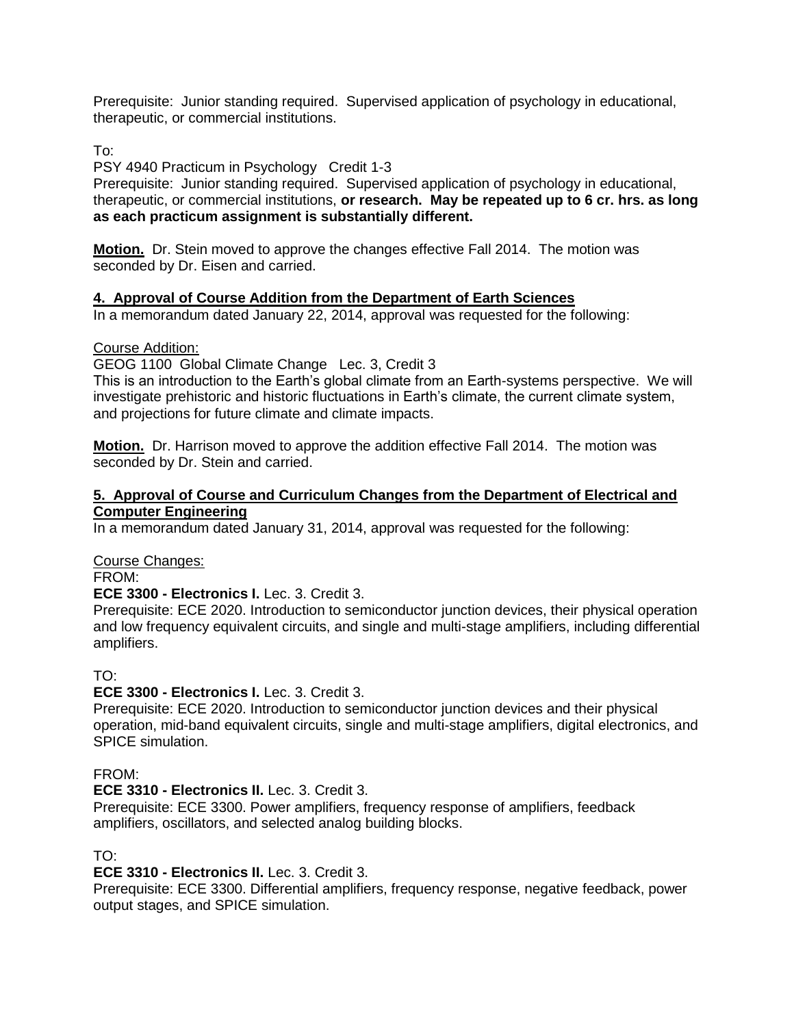Prerequisite: Junior standing required. Supervised application of psychology in educational, therapeutic, or commercial institutions.

To:

PSY 4940 Practicum in Psychology Credit 1-3

Prerequisite: Junior standing required. Supervised application of psychology in educational, therapeutic, or commercial institutions, **or research. May be repeated up to 6 cr. hrs. as long as each practicum assignment is substantially different.**

**Motion.** Dr. Stein moved to approve the changes effective Fall 2014. The motion was seconded by Dr. Eisen and carried.

## **4. Approval of Course Addition from the Department of Earth Sciences**

In a memorandum dated January 22, 2014, approval was requested for the following:

#### Course Addition:

GEOG 1100 Global Climate Change Lec. 3, Credit 3

This is an introduction to the Earth's global climate from an Earth-systems perspective. We will investigate prehistoric and historic fluctuations in Earth's climate, the current climate system, and projections for future climate and climate impacts.

**Motion.** Dr. Harrison moved to approve the addition effective Fall 2014. The motion was seconded by Dr. Stein and carried.

#### **5. Approval of Course and Curriculum Changes from the Department of Electrical and Computer Engineering**

In a memorandum dated January 31, 2014, approval was requested for the following:

Course Changes:

FROM:

**ECE 3300 - Electronics I.** Lec. 3. Credit 3.

Prerequisite: ECE 2020. Introduction to semiconductor junction devices, their physical operation and low frequency equivalent circuits, and single and multi-stage amplifiers, including differential amplifiers.

#### TO:

#### **ECE 3300 - Electronics I.** Lec. 3. Credit 3.

Prerequisite: ECE 2020. Introduction to semiconductor junction devices and their physical operation, mid-band equivalent circuits, single and multi-stage amplifiers, digital electronics, and SPICE simulation.

#### FROM:

## **ECE 3310 - Electronics II.** Lec. 3. Credit 3.

Prerequisite: ECE 3300. Power amplifiers, frequency response of amplifiers, feedback amplifiers, oscillators, and selected analog building blocks.

#### TO:

**ECE 3310 - Electronics II.** Lec. 3. Credit 3.

Prerequisite: ECE 3300. Differential amplifiers, frequency response, negative feedback, power output stages, and SPICE simulation.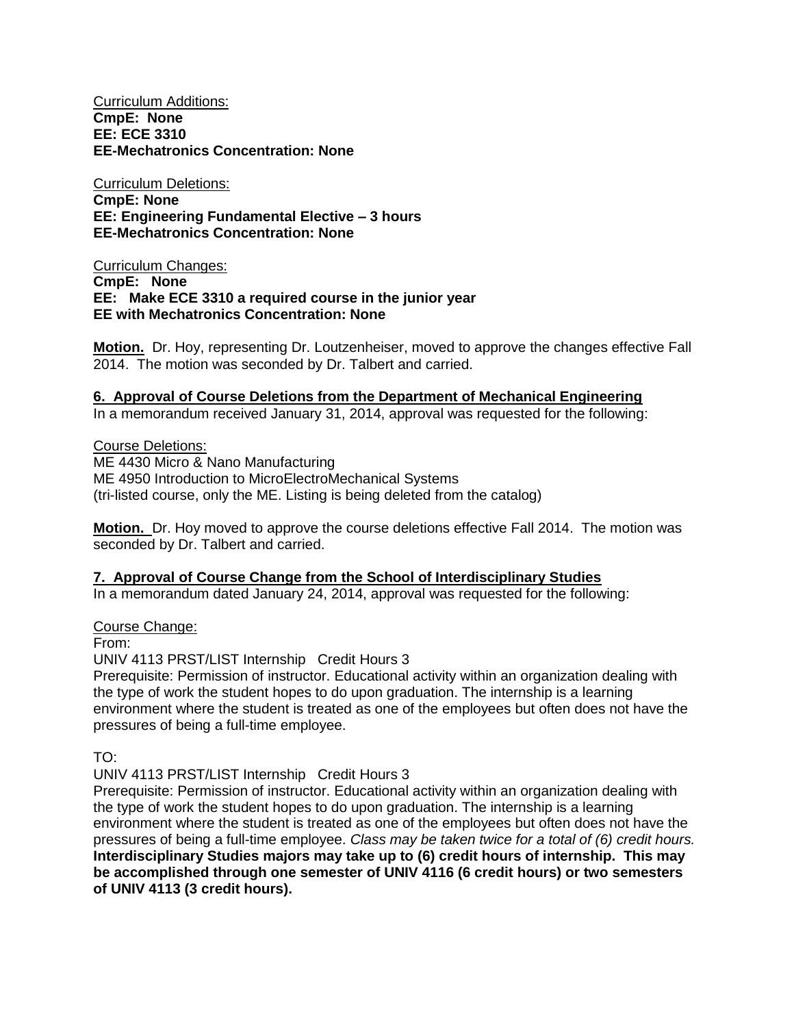Curriculum Additions: **CmpE: None EE: ECE 3310 EE-Mechatronics Concentration: None**

Curriculum Deletions: **CmpE: None EE: Engineering Fundamental Elective – 3 hours EE-Mechatronics Concentration: None**

Curriculum Changes: **CmpE: None EE: Make ECE 3310 a required course in the junior year EE with Mechatronics Concentration: None**

**Motion.** Dr. Hoy, representing Dr. Loutzenheiser, moved to approve the changes effective Fall 2014. The motion was seconded by Dr. Talbert and carried.

#### **6. Approval of Course Deletions from the Department of Mechanical Engineering**

In a memorandum received January 31, 2014, approval was requested for the following:

Course Deletions: ME 4430 Micro & Nano Manufacturing ME 4950 Introduction to MicroElectroMechanical Systems (tri-listed course, only the ME. Listing is being deleted from the catalog)

**Motion.** Dr. Hoy moved to approve the course deletions effective Fall 2014. The motion was seconded by Dr. Talbert and carried.

## **7. Approval of Course Change from the School of Interdisciplinary Studies**

In a memorandum dated January 24, 2014, approval was requested for the following:

Course Change:

From:

UNIV 4113 PRST/LIST Internship Credit Hours 3

Prerequisite: Permission of instructor. Educational activity within an organization dealing with the type of work the student hopes to do upon graduation. The internship is a learning environment where the student is treated as one of the employees but often does not have the pressures of being a full-time employee.

TO:

UNIV 4113 PRST/LIST Internship Credit Hours 3

Prerequisite: Permission of instructor. Educational activity within an organization dealing with the type of work the student hopes to do upon graduation. The internship is a learning environment where the student is treated as one of the employees but often does not have the pressures of being a full-time employee. *Class may be taken twice for a total of (6) credit hours.* **Interdisciplinary Studies majors may take up to (6) credit hours of internship. This may be accomplished through one semester of UNIV 4116 (6 credit hours) or two semesters of UNIV 4113 (3 credit hours).**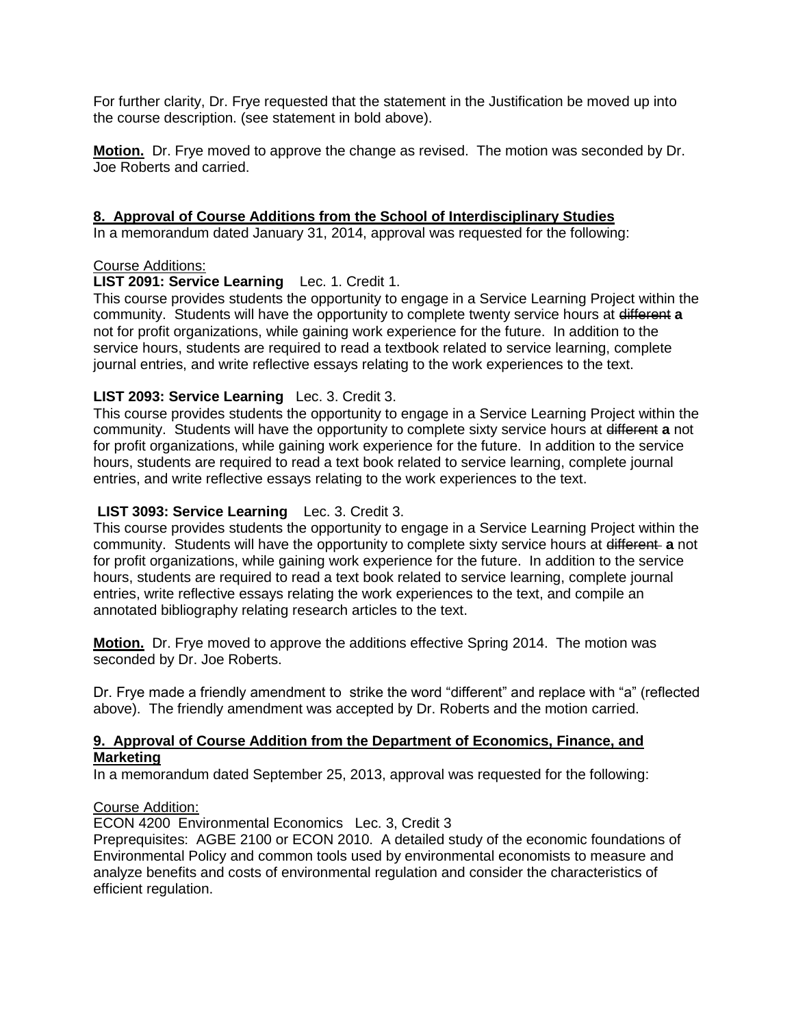For further clarity, Dr. Frye requested that the statement in the Justification be moved up into the course description. (see statement in bold above).

**Motion.** Dr. Frye moved to approve the change as revised. The motion was seconded by Dr. Joe Roberts and carried.

#### **8. Approval of Course Additions from the School of Interdisciplinary Studies**

In a memorandum dated January 31, 2014, approval was requested for the following:

#### Course Additions:

#### **LIST 2091: Service Learning** Lec. 1. Credit 1.

This course provides students the opportunity to engage in a Service Learning Project within the community. Students will have the opportunity to complete twenty service hours at different **a** not for profit organizations, while gaining work experience for the future. In addition to the service hours, students are required to read a textbook related to service learning, complete journal entries, and write reflective essays relating to the work experiences to the text.

## **LIST 2093: Service Learning** Lec. 3. Credit 3.

This course provides students the opportunity to engage in a Service Learning Project within the community. Students will have the opportunity to complete sixty service hours at different **a** not for profit organizations, while gaining work experience for the future. In addition to the service hours, students are required to read a text book related to service learning, complete journal entries, and write reflective essays relating to the work experiences to the text.

#### **LIST 3093: Service Learning** Lec. 3. Credit 3.

This course provides students the opportunity to engage in a Service Learning Project within the community. Students will have the opportunity to complete sixty service hours at different **a** not for profit organizations, while gaining work experience for the future. In addition to the service hours, students are required to read a text book related to service learning, complete journal entries, write reflective essays relating the work experiences to the text, and compile an annotated bibliography relating research articles to the text.

**Motion.** Dr. Frye moved to approve the additions effective Spring 2014. The motion was seconded by Dr. Joe Roberts.

Dr. Frye made a friendly amendment to strike the word "different" and replace with "a" (reflected above). The friendly amendment was accepted by Dr. Roberts and the motion carried.

#### **9. Approval of Course Addition from the Department of Economics, Finance, and Marketing**

In a memorandum dated September 25, 2013, approval was requested for the following:

#### Course Addition:

ECON 4200 Environmental Economics Lec. 3, Credit 3

Preprequisites: AGBE 2100 or ECON 2010. A detailed study of the economic foundations of Environmental Policy and common tools used by environmental economists to measure and analyze benefits and costs of environmental regulation and consider the characteristics of efficient regulation.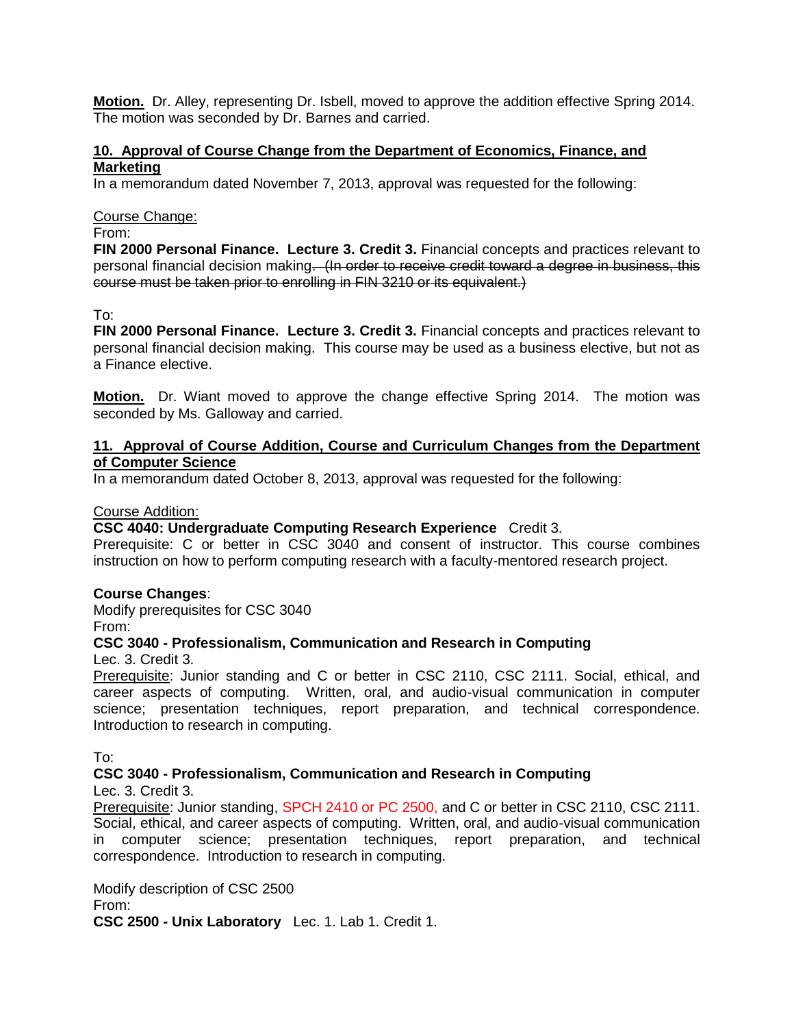**Motion.** Dr. Alley, representing Dr. Isbell, moved to approve the addition effective Spring 2014. The motion was seconded by Dr. Barnes and carried.

## **10. Approval of Course Change from the Department of Economics, Finance, and Marketing**

In a memorandum dated November 7, 2013, approval was requested for the following:

#### Course Change:

#### From:

**FIN 2000 Personal Finance. Lecture 3. Credit 3.** Financial concepts and practices relevant to personal financial decision making. (In order to receive credit toward a degree in business, this course must be taken prior to enrolling in FIN 3210 or its equivalent.)

To:

**FIN 2000 Personal Finance. Lecture 3. Credit 3.** Financial concepts and practices relevant to personal financial decision making. This course may be used as a business elective, but not as a Finance elective.

**Motion.** Dr. Wiant moved to approve the change effective Spring 2014. The motion was seconded by Ms. Galloway and carried.

## **11. Approval of Course Addition, Course and Curriculum Changes from the Department of Computer Science**

In a memorandum dated October 8, 2013, approval was requested for the following:

#### Course Addition:

#### **CSC 4040: Undergraduate Computing Research Experience** Credit 3.

Prerequisite: C or better in CSC 3040 and consent of instructor. This course combines instruction on how to perform computing research with a faculty-mentored research project.

#### **Course Changes**:

Modify prerequisites for CSC 3040 From:

# **CSC 3040 - Professionalism, Communication and Research in Computing**

Lec. 3. Credit 3.

Prerequisite: Junior standing and C or better in CSC 2110, CSC 2111. Social, ethical, and career aspects of computing. Written, oral, and audio-visual communication in computer science; presentation techniques, report preparation, and technical correspondence. Introduction to research in computing.

To:

## **CSC 3040 - Professionalism, Communication and Research in Computing**

Lec. 3. Credit 3.

Prerequisite: Junior standing, SPCH 2410 or PC 2500, and C or better in CSC 2110, CSC 2111. Social, ethical, and career aspects of computing. Written, oral, and audio-visual communication in computer science; presentation techniques, report preparation, and technical correspondence. Introduction to research in computing.

Modify description of CSC 2500 From: **CSC 2500 - Unix Laboratory** Lec. 1. Lab 1. Credit 1.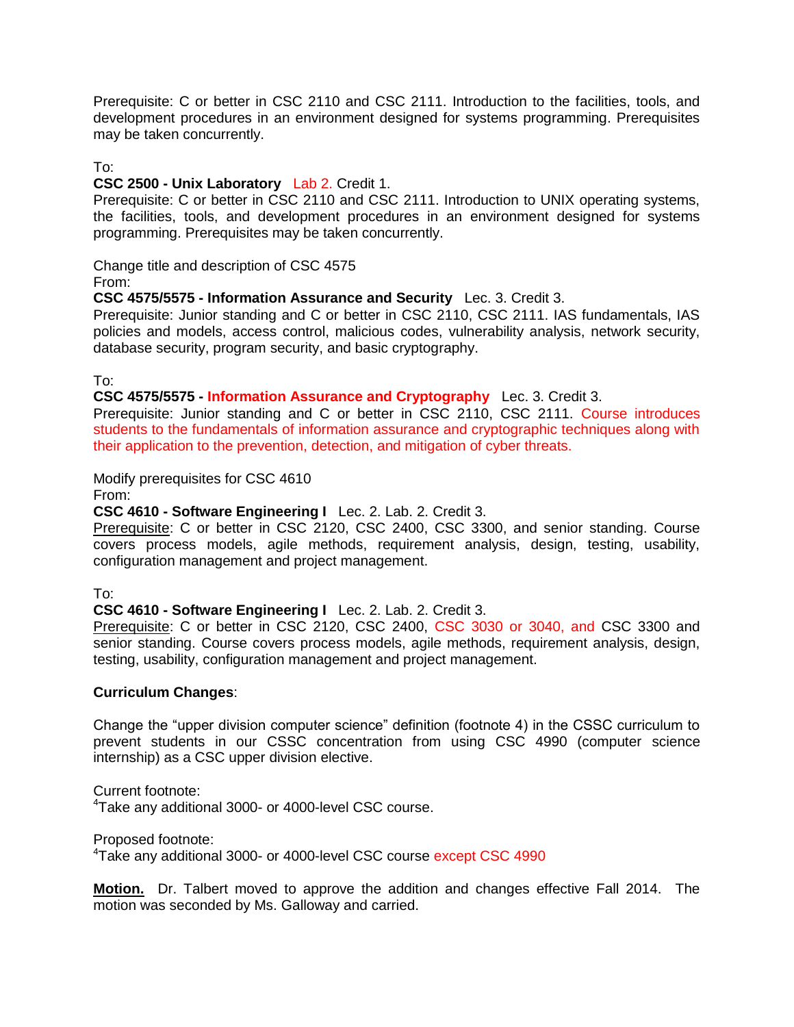Prerequisite: C or better in CSC 2110 and CSC 2111. Introduction to the facilities, tools, and development procedures in an environment designed for systems programming. Prerequisites may be taken concurrently.

## To:

#### **CSC 2500 - Unix Laboratory** Lab 2. Credit 1.

Prerequisite: C or better in CSC 2110 and CSC 2111. Introduction to UNIX operating systems, the facilities, tools, and development procedures in an environment designed for systems programming. Prerequisites may be taken concurrently.

Change title and description of CSC 4575 From:

#### **CSC 4575/5575 - Information Assurance and Security** Lec. 3. Credit 3.

Prerequisite: Junior standing and C or better in CSC 2110, CSC 2111. IAS fundamentals, IAS policies and models, access control, malicious codes, vulnerability analysis, network security, database security, program security, and basic cryptography.

To:

#### **CSC 4575/5575 - Information Assurance and Cryptography** Lec. 3. Credit 3.

Prerequisite: Junior standing and C or better in CSC 2110, CSC 2111. Course introduces students to the fundamentals of information assurance and cryptographic techniques along with their application to the prevention, detection, and mitigation of cyber threats.

Modify prerequisites for CSC 4610

From:

#### **CSC 4610 - Software Engineering I** Lec. 2. Lab. 2. Credit 3.

Prerequisite: C or better in CSC 2120, CSC 2400, CSC 3300, and senior standing. Course covers process models, agile methods, requirement analysis, design, testing, usability, configuration management and project management.

To:

#### **CSC 4610 - Software Engineering I** Lec. 2. Lab. 2. Credit 3.

Prerequisite: C or better in CSC 2120, CSC 2400, CSC 3030 or 3040, and CSC 3300 and senior standing. Course covers process models, agile methods, requirement analysis, design, testing, usability, configuration management and project management.

#### **Curriculum Changes**:

Change the "upper division computer science" definition (footnote 4) in the CSSC curriculum to prevent students in our CSSC concentration from using CSC 4990 (computer science internship) as a CSC upper division elective.

Current footnote: <sup>4</sup>Take any additional 3000- or 4000-level CSC course.

Proposed footnote: <sup>4</sup>Take any additional 3000- or 4000-level CSC course except CSC 4990

**Motion.** Dr. Talbert moved to approve the addition and changes effective Fall 2014. The motion was seconded by Ms. Galloway and carried.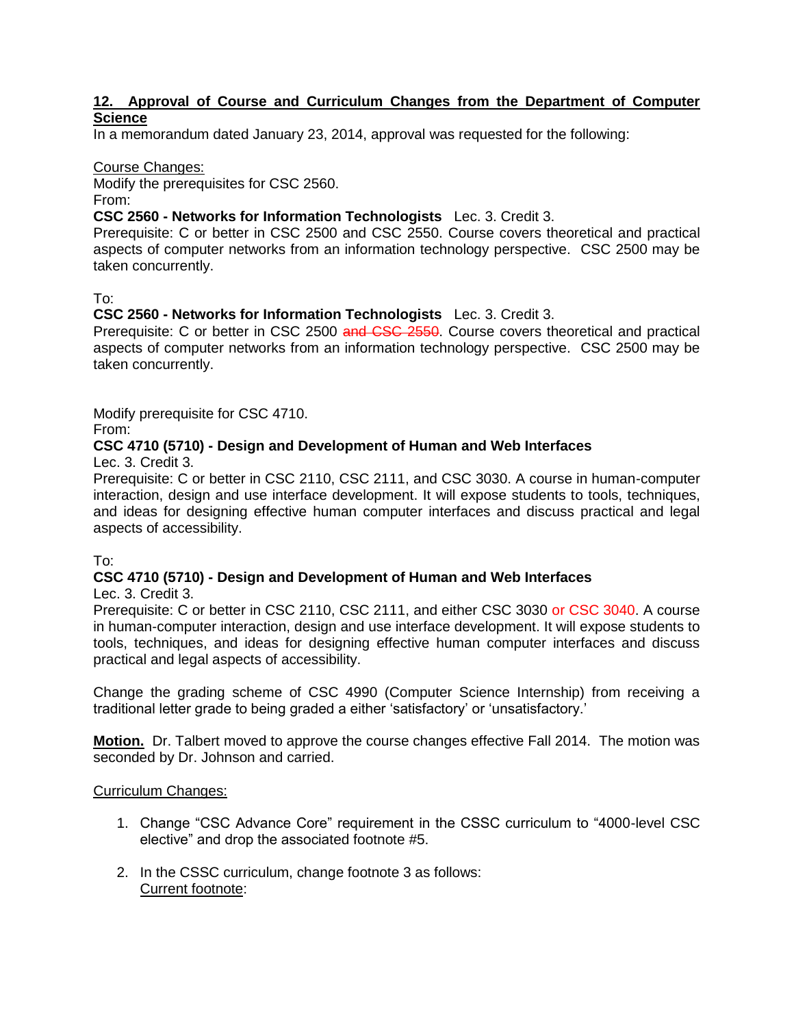## **12. Approval of Course and Curriculum Changes from the Department of Computer Science**

In a memorandum dated January 23, 2014, approval was requested for the following:

#### Course Changes:

Modify the prerequisites for CSC 2560. From:

# **CSC 2560 - Networks for Information Technologists** Lec. 3. Credit 3.

Prerequisite: C or better in CSC 2500 and CSC 2550. Course covers theoretical and practical aspects of computer networks from an information technology perspective. CSC 2500 may be taken concurrently.

To:

#### **CSC 2560 - Networks for Information Technologists** Lec. 3. Credit 3.

Prerequisite: C or better in CSC 2500 and CSC 2550. Course covers theoretical and practical aspects of computer networks from an information technology perspective. CSC 2500 may be taken concurrently.

Modify prerequisite for CSC 4710. From:

## **CSC 4710 (5710) - Design and Development of Human and Web Interfaces**  Lec. 3. Credit 3.

Prerequisite: C or better in CSC 2110, CSC 2111, and CSC 3030. A course in human-computer interaction, design and use interface development. It will expose students to tools, techniques, and ideas for designing effective human computer interfaces and discuss practical and legal aspects of accessibility.

To:

# **CSC 4710 (5710) - Design and Development of Human and Web Interfaces**

Lec. 3. Credit 3.

Prerequisite: C or better in CSC 2110, CSC 2111, and either CSC 3030 or CSC 3040. A course in human-computer interaction, design and use interface development. It will expose students to tools, techniques, and ideas for designing effective human computer interfaces and discuss practical and legal aspects of accessibility.

Change the grading scheme of CSC 4990 (Computer Science Internship) from receiving a traditional letter grade to being graded a either 'satisfactory' or 'unsatisfactory.'

**Motion.** Dr. Talbert moved to approve the course changes effective Fall 2014. The motion was seconded by Dr. Johnson and carried.

## Curriculum Changes:

- 1. Change "CSC Advance Core" requirement in the CSSC curriculum to "4000-level CSC elective" and drop the associated footnote #5.
- 2. In the CSSC curriculum, change footnote 3 as follows: Current footnote: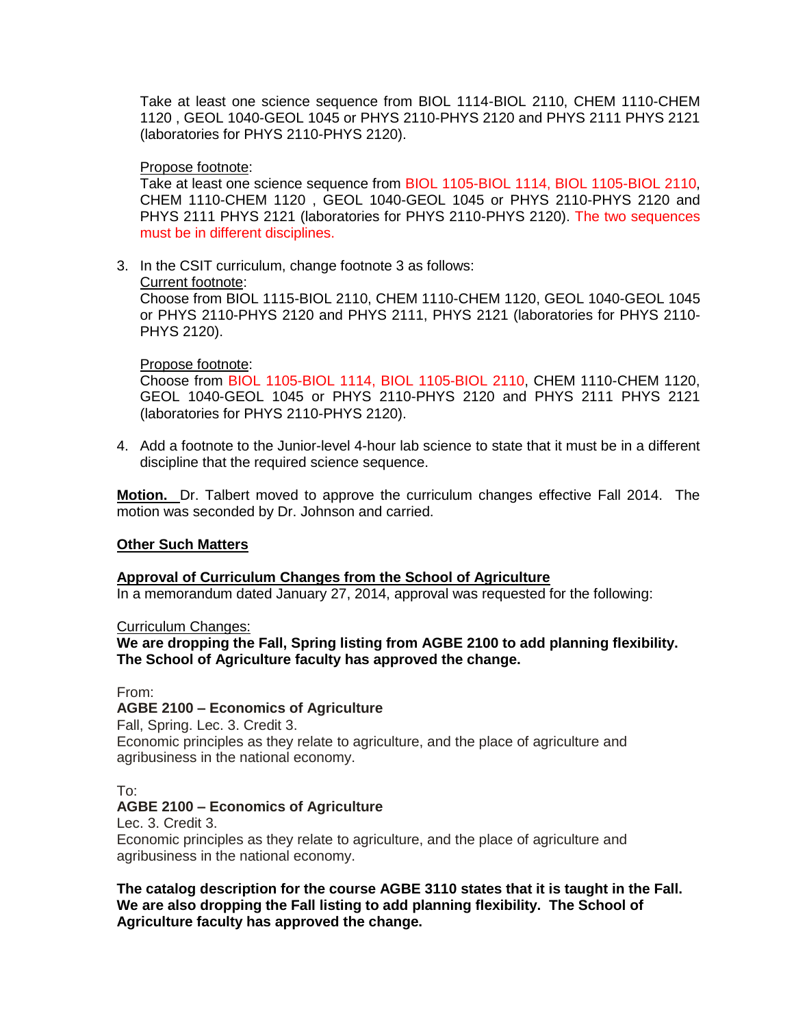Take at least one science sequence from BIOL 1114-BIOL 2110, CHEM 1110-CHEM 1120 , GEOL 1040-GEOL 1045 or PHYS 2110-PHYS 2120 and PHYS 2111 PHYS 2121 (laboratories for PHYS 2110-PHYS 2120).

#### Propose footnote:

Take at least one science sequence from BIOL 1105-BIOL 1114, BIOL 1105-BIOL 2110, CHEM 1110-CHEM 1120 , GEOL 1040-GEOL 1045 or PHYS 2110-PHYS 2120 and PHYS 2111 PHYS 2121 (laboratories for PHYS 2110-PHYS 2120). The two sequences must be in different disciplines.

3. In the CSIT curriculum, change footnote 3 as follows:

Current footnote:

Choose from BIOL 1115-BIOL 2110, CHEM 1110-CHEM 1120, GEOL 1040-GEOL 1045 or PHYS 2110-PHYS 2120 and PHYS 2111, PHYS 2121 (laboratories for PHYS 2110- PHYS 2120).

## Propose footnote:

Choose from BIOL 1105-BIOL 1114, BIOL 1105-BIOL 2110, CHEM 1110-CHEM 1120, GEOL 1040-GEOL 1045 or PHYS 2110-PHYS 2120 and PHYS 2111 PHYS 2121 (laboratories for PHYS 2110-PHYS 2120).

4. Add a footnote to the Junior-level 4-hour lab science to state that it must be in a different discipline that the required science sequence.

**Motion.** Dr. Talbert moved to approve the curriculum changes effective Fall 2014. The motion was seconded by Dr. Johnson and carried.

## **Other Such Matters**

## **Approval of Curriculum Changes from the School of Agriculture**

In a memorandum dated January 27, 2014, approval was requested for the following:

Curriculum Changes:

**We are dropping the Fall, Spring listing from AGBE 2100 to add planning flexibility. The School of Agriculture faculty has approved the change.**

From:

## **AGBE 2100 – Economics of Agriculture**

Fall, Spring. Lec. 3. Credit 3.

Economic principles as they relate to agriculture, and the place of agriculture and agribusiness in the national economy.

To:

## **AGBE 2100 – Economics of Agriculture**

Lec. 3. Credit 3.

Economic principles as they relate to agriculture, and the place of agriculture and agribusiness in the national economy.

**The catalog description for the course AGBE 3110 states that it is taught in the Fall. We are also dropping the Fall listing to add planning flexibility. The School of Agriculture faculty has approved the change.**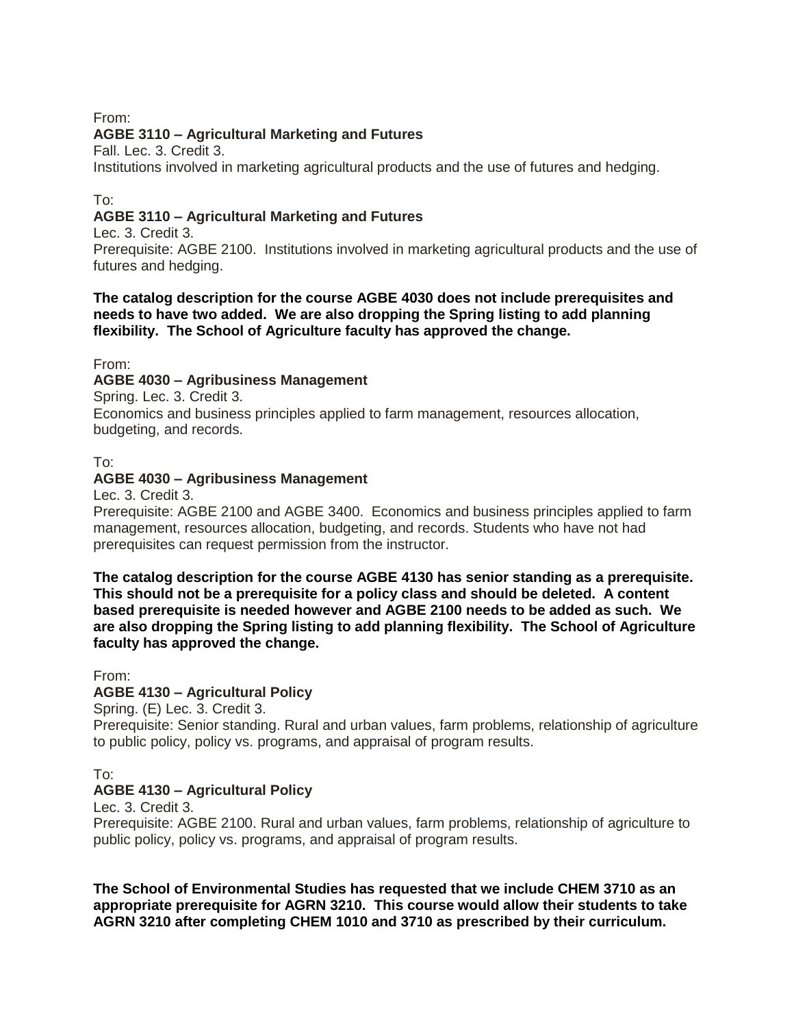From:

# **AGBE 3110 – Agricultural Marketing and Futures**

Fall. Lec. 3. Credit 3.

Institutions involved in marketing agricultural products and the use of futures and hedging.

## To:

# **AGBE 3110 – Agricultural Marketing and Futures**

Lec. 3. Credit 3.

Prerequisite: AGBE 2100. Institutions involved in marketing agricultural products and the use of futures and hedging.

## **The catalog description for the course AGBE 4030 does not include prerequisites and needs to have two added. We are also dropping the Spring listing to add planning flexibility. The School of Agriculture faculty has approved the change.**

From:

# **AGBE 4030 – Agribusiness Management**

Spring. Lec. 3. Credit 3.

Economics and business principles applied to farm management, resources allocation, budgeting, and records.

## To:

## **AGBE 4030 – Agribusiness Management**

Lec. 3. Credit 3.

Prerequisite: AGBE 2100 and AGBE 3400. Economics and business principles applied to farm management, resources allocation, budgeting, and records. Students who have not had prerequisites can request permission from the instructor.

**The catalog description for the course AGBE 4130 has senior standing as a prerequisite. This should not be a prerequisite for a policy class and should be deleted. A content based prerequisite is needed however and AGBE 2100 needs to be added as such. We are also dropping the Spring listing to add planning flexibility. The School of Agriculture faculty has approved the change.**

From:

## **AGBE 4130 – Agricultural Policy**

Spring. (E) Lec. 3. Credit 3.

Prerequisite: Senior standing. Rural and urban values, farm problems, relationship of agriculture to public policy, policy vs. programs, and appraisal of program results.

To:

## **AGBE 4130 – Agricultural Policy**

Lec. 3. Credit 3.

Prerequisite: AGBE 2100. Rural and urban values, farm problems, relationship of agriculture to public policy, policy vs. programs, and appraisal of program results.

**The School of Environmental Studies has requested that we include CHEM 3710 as an appropriate prerequisite for AGRN 3210. This course would allow their students to take AGRN 3210 after completing CHEM 1010 and 3710 as prescribed by their curriculum.**